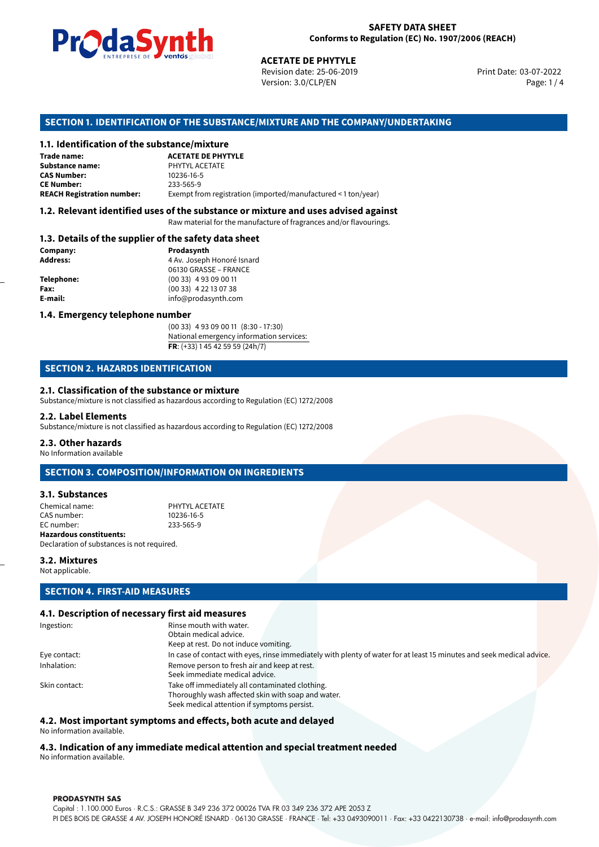

Revision date: 25-06-2019 Version: 3.0/CLP/EN Page: 1 / 4

Print Date: 03-07-2022

# **SECTION 1. IDENTIFICATION OF THE SUBSTANCE/MIXTURE AND THE COMPANY/UNDERTAKING**

### **1.1. Identification of the substance/mixture**

|                                              | LIVING THE DE <b>DE VOINUS</b> SUSSESSI<br><b>ACETATE DE PHYTYLE</b><br>Revision date: 25-06-2019<br>Version: 3.0/CLP/EN |
|----------------------------------------------|--------------------------------------------------------------------------------------------------------------------------|
|                                              | SECTION 1. IDENTIFICATION OF THE SUBSTANCE/MIXTURE AND THE COMPANY/L                                                     |
| 1.1. Identification of the substance/mixture |                                                                                                                          |
| Trade name:                                  | <b>ACETATE DE PHYTYLE</b>                                                                                                |
| Substance name:                              | PHYTYL ACETATE                                                                                                           |
| <b>CAS Number:</b>                           | 10236-16-5                                                                                                               |
| <b>CE Number:</b>                            | 233-565-9                                                                                                                |
| <b>REACH Registration number:</b>            | Exempt from registration (imported/manufactured < 1 ton/year)                                                            |
|                                              |                                                                                                                          |

### **1.2. Relevant identified uses of the substance or mixture and uses advised against**

Raw material for the manufacture of fragrances and/or flavourings.

### **1.3. Details of the supplier of the safety data sheet**

| Company:          | Prodasynth                 |
|-------------------|----------------------------|
| <b>Address:</b>   | 4 Av. Joseph Honoré Isnard |
|                   | 06130 GRASSE - FRANCE      |
| <b>Telephone:</b> | $(0033)$ 4 93 09 00 11     |
| Fax:              | $(0033)$ 4 22 13 07 38     |
| E-mail:           | info@prodasynth.com        |
|                   |                            |

### **1.4. Emergency telephone number**

(00 33) 4 93 09 00 11 (8:30 - 17:30) National emergency information services: **FR**: (+33) 1 45 42 59 59 (24h/7)

### **SECTION 2. HAZARDS IDENTIFICATION**

### **2.1. Classification of the substance or mixture**

Substance/mixture is not classified as hazardous according to Regulation (EC) 1272/2008

### **2.2. Label Elements**

Substance/mixture is not classified as hazardous according to Regulation (EC) 1272/2008

### **2.3. Other hazards**

No Information available

## **SECTION 3. COMPOSITION/INFORMATION ON INGREDIENTS**

### **3.1. Substances**

| Chemical name:                 | PHYTYL ACFTATE |
|--------------------------------|----------------|
| CAS number:                    | 10236-16-5     |
| EC number:                     | 233-565-9      |
| <b>Hazardous constituents:</b> |                |

Declaration of substances is not required.

### **3.2. Mixtures**

Not applicable.

# **SECTION 4. FIRST-AID MEASURES**

### **4.1. Description of necessary first aid measures**

| Ingestion:    | Rinse mouth with water.                                                                                               |
|---------------|-----------------------------------------------------------------------------------------------------------------------|
|               | Obtain medical advice.                                                                                                |
|               | Keep at rest. Do not induce vomiting.                                                                                 |
| Eye contact:  | In case of contact with eyes, rinse immediately with plenty of water for at least 15 minutes and seek medical advice. |
| Inhalation:   | Remove person to fresh air and keep at rest.                                                                          |
|               | Seek immediate medical advice.                                                                                        |
| Skin contact: | Take off immediately all contaminated clothing.                                                                       |
|               | Thoroughly wash affected skin with soap and water.                                                                    |
|               | Seek medical attention if symptoms persist.                                                                           |
|               |                                                                                                                       |

### **4.2. Most important symptoms and effects, both acute and delayed**

No information available.

# **4.3. Indication of any immediate medical attention and special treatment needed**

No information available.

### **PRODASYNTH SAS**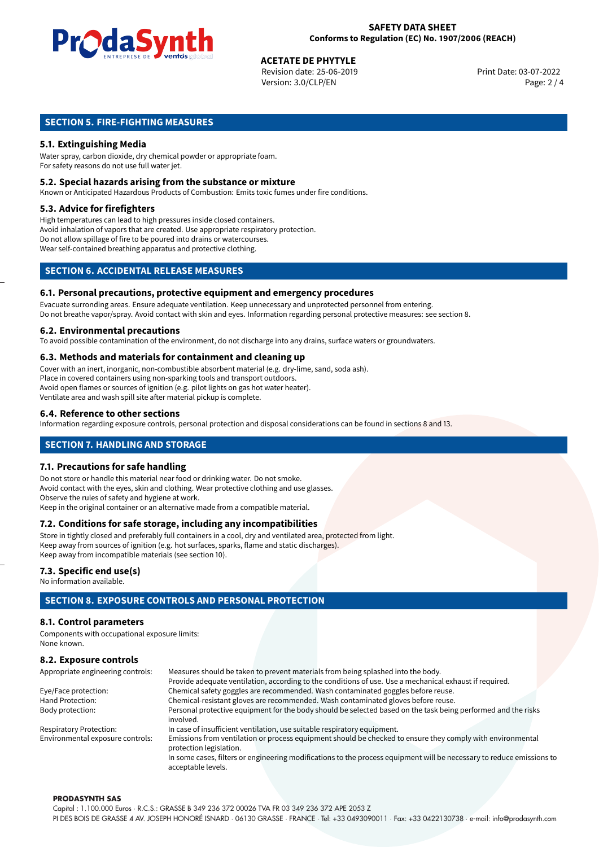

# **ACETATE DE PHYTYLE**<br>
Revision date: 25-06-2019<br> **Devision date: 25-06-2019**

Revision date: 25-06-2019 Version: 3.0/CLP/EN Page: 2 / 4

# **SECTION 5. FIRE-FIGHTING MEASURES**

# **5.1. Extinguishing Media**

Water spray, carbon dioxide, dry chemical powder or appropriate foam. For safety reasons do not use full water jet.

### **5.2. Special hazards arising from the substance or mixture**

Known or Anticipated Hazardous Products of Combustion: Emits toxic fumes under fire conditions.

### **5.3. Advice for firefighters**

High temperatures can lead to high pressures inside closed containers. Avoid inhalation of vapors that are created. Use appropriate respiratory protection. Do not allow spillage of fire to be poured into drains or watercourses. Wear self-contained breathing apparatus and protective clothing.

# **SECTION 6. ACCIDENTAL RELEASE MEASURES**

### **6.1. Personal precautions, protective equipment and emergency procedures**

Evacuate surronding areas. Ensure adequate ventilation. Keep unnecessary and unprotected personnel from entering. Do not breathe vapor/spray. Avoid contact with skin and eyes. Information regarding personal protective measures: see section 8.

### **6.2. Environmental precautions**

To avoid possible contamination of the environment, do not discharge into any drains, surface waters or groundwaters.

### **6.3. Methods and materials for containment and cleaning up**

Cover with an inert, inorganic, non-combustible absorbent material (e.g. dry-lime, sand, soda ash). Place in covered containers using non-sparking tools and transport outdoors. Avoid open flames or sources of ignition (e.g. pilot lights on gas hot water heater). Ventilate area and wash spill site after material pickup is complete.

### **6.4. Reference to other sections**

Information regarding exposure controls, personal protection and disposal considerations can be found in sections 8 and 13.

# **SECTION 7. HANDLING AND STORAGE**

### **7.1. Precautions for safe handling**

Do not store or handle this material near food or drinking water. Do not smoke. Avoid contact with the eyes, skin and clothing. Wear protective clothing and use glasses. Observe the rules of safety and hygiene at work. Keep in the original container or an alternative made from a compatible material.

### **7.2. Conditions for safe storage, including any incompatibilities**

Store in tightly closed and preferably full containers in a cool, dry and ventilated area, protected from light. Keep away from sources of ignition (e.g. hot surfaces, sparks, flame and static discharges). Keep away from incompatible materials (see section 10).

### **7.3. Specific end use(s)**

No information available.

# **SECTION 8. EXPOSURE CONTROLS AND PERSONAL PROTECTION**

### **8.1. Control parameters**

Components with occupational exposure limits: None known.

# **8.2. Exposure controls**

| Appropriate engineering controls: | Measures should be taken to prevent materials from being splashed into the body.                                                            |  |  |  |
|-----------------------------------|---------------------------------------------------------------------------------------------------------------------------------------------|--|--|--|
|                                   | Provide adequate ventilation, according to the conditions of use. Use a mechanical exhaust if required.                                     |  |  |  |
| Eye/Face protection:              | Chemical safety goggles are recommended. Wash contaminated goggles before reuse.                                                            |  |  |  |
| Hand Protection:                  | Chemical-resistant gloves are recommended. Wash contaminated gloves before reuse.                                                           |  |  |  |
| Body protection:                  | Personal protective equipment for the body should be selected based on the task being performed and the risks                               |  |  |  |
|                                   | involved.                                                                                                                                   |  |  |  |
| <b>Respiratory Protection:</b>    | In case of insufficient ventilation, use suitable respiratory equipment.                                                                    |  |  |  |
| Environmental exposure controls:  | Emissions from ventilation or process equipment should be checked to ensure they comply with environmental<br>protection legislation.       |  |  |  |
|                                   | In some cases, filters or engineering modifications to the process equipment will be necessary to reduce emissions to<br>acceptable levels. |  |  |  |

### **PRODASYNTH SAS**

Capital : 1.100.000 Euros · R.C.S.: GRASSE B 349 236 372 00026 TVA FR 03 349 236 372 APE 2053 Z PI DES BOIS DE GRASSE 4 AV. JOSEPH HONORÉ ISNARD · 06130 GRASSE · FRANCE · Tel: +33 0493090011 · Fax: +33 0422130738 · e-mail: info@prodasynth.com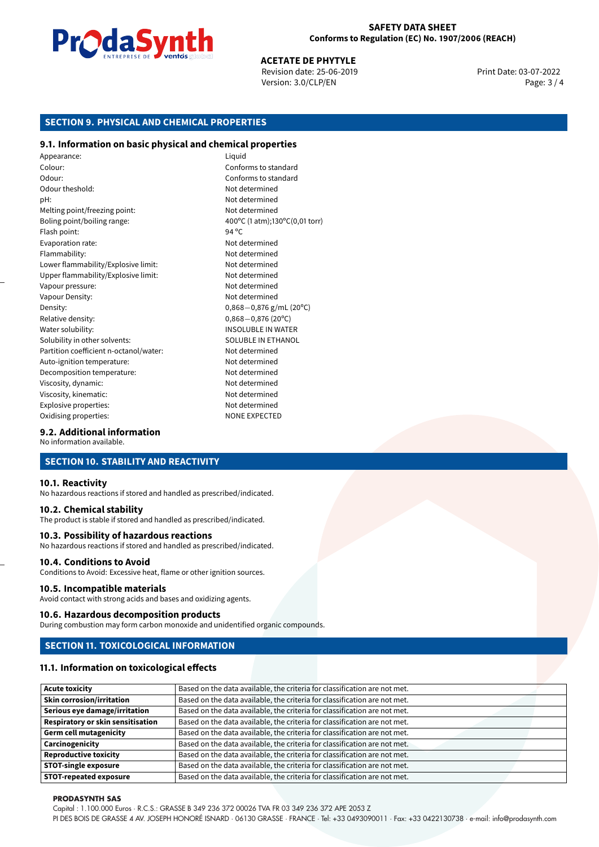

**ACETATE DE PHYTYLE**<br>Revision date: 25-06-2019 Print Date: 03-07-2022 Version: 3.0/CLP/EN Page: 3 / 4

# **SECTION 9. PHYSICAL AND CHEMICAL PROPERTIES**

### **9.1. Information on basic physical and chemical properties**

Appearance: Liquid Colour: Conforms to standard Odour: Conforms to standard Odour theshold: Not determined pH: Not determined Melting point/freezing point: Not determined Boling point/boiling range:  $400^{\circ}$ C (1 atm);130°C (0,01 torr) Flash point: 94 ºC Evaporation rate: Not determined Flammability: Not determined Lower flammability/Explosive limit: Not determined Upper flammability/Explosive limit: Not determined Vapour pressure: Vapour pressure: Not determined Vapour Density: Not determined Density: 0,868−0,876 g/mL (20°C)<br>Relative density: 0,868−0,876 (20°C) Relative density: 0,868*−*0,876 (20ºC) Solubility in other solvents: SOLUBLE IN ETHANOL Partition coefficient n-octanol/water: Not determined Auto-ignition temperature: Not determined Decomposition temperature: Not determined Viscosity, dynamic:  $\blacksquare$ Viscosity, kinematic: Not determined Explosive properties: Not determined Oxidising properties: NONE EXPECTED

**INSOLUBLE IN WATER** 

### **9.2. Additional information**

No information available.

# **SECTION 10. STABILITY AND REACTIVITY**

### **10.1. Reactivity**

No hazardous reactions if stored and handled as prescribed/indicated.

### **10.2. Chemical stability**

The product is stable if stored and handled as prescribed/indicated.

### **10.3. Possibility of hazardous reactions**

No hazardous reactions if stored and handled as prescribed/indicated.

### **10.4. Conditions to Avoid**

Conditions to Avoid: Excessive heat, flame or other ignition sources.

### **10.5. Incompatible materials**

Avoid contact with strong acids and bases and oxidizing agents.

### **10.6. Hazardous decomposition products**

During combustion may form carbon monoxide and unidentified organic compounds.

### **SECTION 11. TOXICOLOGICAL INFORMATION**

### **11.1. Information on toxicological effects**

| <b>Acute toxicity</b>                    | Based on the data available, the criteria for classification are not met. |
|------------------------------------------|---------------------------------------------------------------------------|
| <b>Skin corrosion/irritation</b>         | Based on the data available, the criteria for classification are not met. |
| Serious eye damage/irritation            | Based on the data available, the criteria for classification are not met. |
| <b>Respiratory or skin sensitisation</b> | Based on the data available, the criteria for classification are not met. |
| <b>Germ cell mutagenicity</b>            | Based on the data available, the criteria for classification are not met. |
| Carcinogenicity                          | Based on the data available, the criteria for classification are not met. |
| <b>Reproductive toxicity</b>             | Based on the data available, the criteria for classification are not met. |
| <b>STOT-single exposure</b>              | Based on the data available, the criteria for classification are not met. |
| <b>STOT-repeated exposure</b>            | Based on the data available, the criteria for classification are not met. |

### **PRODASYNTH SAS**

Capital : 1.100.000 Euros · R.C.S.: GRASSE B 349 236 372 00026 TVA FR 03 349 236 372 APE 2053 Z

PI DES BOIS DE GRASSE 4 AV. JOSEPH HONORÉ ISNARD · 06130 GRASSE · FRANCE · Tel: +33 0493090011 · Fax: +33 0422130738 · e-mail: info@prodasynth.com